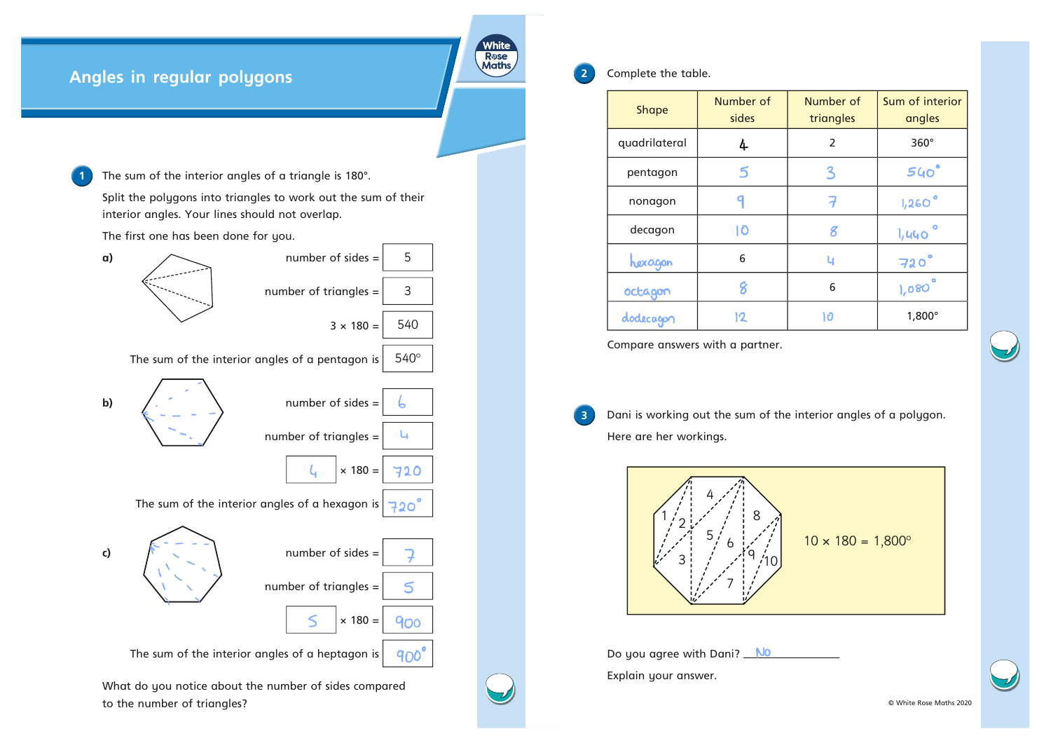## **Angles in regular polygons**

**1** The sum of the interior angles of a triangle is 180°.

Split the polygons into triangles to work out the sum of their interior angles. Your lines should not overlap.

The first one has been done for you.



White Rose<br>Maths

**2** Complete the table.

| <b>Shape</b>  | Number of<br>sides | Number of<br>triangles | Sum of interior<br>angles |
|---------------|--------------------|------------------------|---------------------------|
| quadrilateral | 4                  | $\overline{2}$         | $360^\circ$               |
| pentagon      | 5                  | 3                      | $540^\circ$               |
| nonagon       |                    |                        | $1,260$ °                 |
| decagon       | ١Ō                 | Я                      | 1,440                     |
| hexagon       | 6                  | u                      | $720^\circ$               |
| octagon       | 8                  | 6                      | 1,080                     |
| dodecagon     | 12                 | 10                     | $1,800^\circ$             |

Compare answers with a partner.

**3** Dani is working out the sum of the interior angles of a polygon. Here are her workings.



Do you agree with Dani? No Explain your answer.